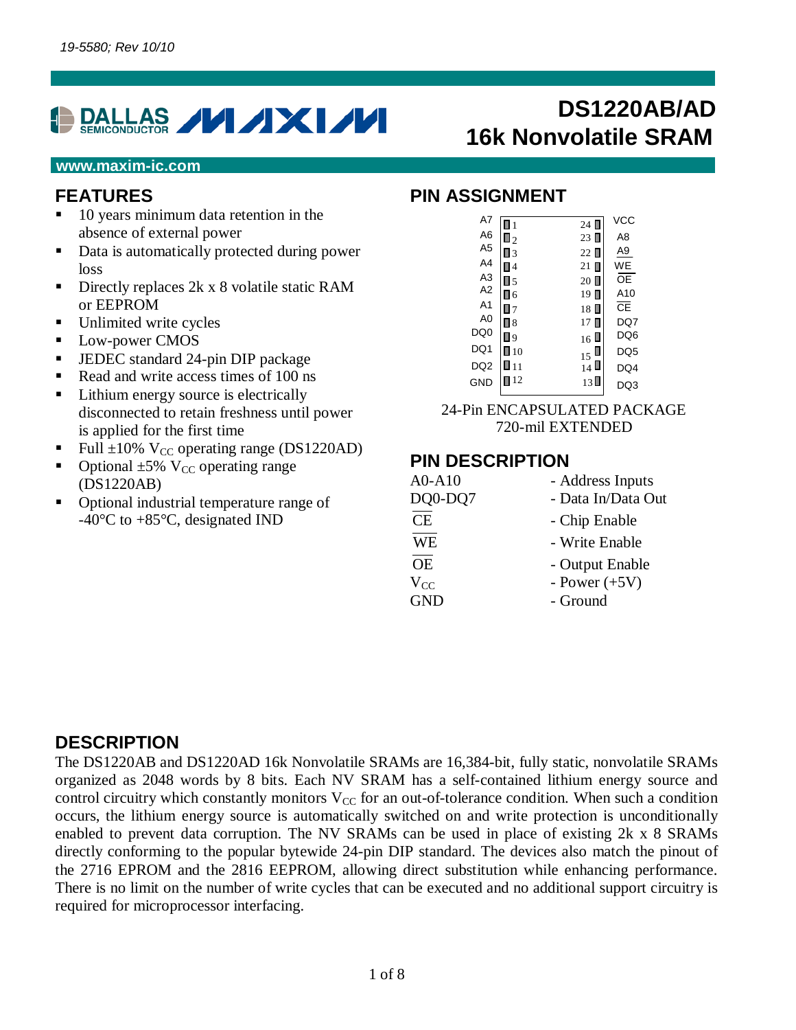

#### **www.maxim-ic.com**

#### **FEATURES**

- 10 years minimum data retention in the absence of external power
- Data is automatically protected during power loss
- Directly replaces 2k x 8 volatile static RAM or EEPROM
- Unlimited write cycles
- Low-power CMOS
- JEDEC standard 24-pin DIP package
- Read and write access times of 100 ns
- Lithium energy source is electrically disconnected to retain freshness until power is applied for the first time
- Full  $\pm 10\%$  V<sub>CC</sub> operating range (DS1220AD)
- Optional  $\pm 5\%$  V<sub>CC</sub> operating range (DS1220AB)
- Optional industrial temperature range of -40°C to +85°C, designated IND

# **DS1220AB/AD 16k Nonvolatile SRAM**

#### **PIN ASSIGNMENT**

| A7              | l 1               | 24             | VCC             |
|-----------------|-------------------|----------------|-----------------|
| A <sub>6</sub>  | $\Box$ 2          | $23$ $\square$ | A8              |
| A <sub>5</sub>  | Π3                | 22 ■           | A9              |
| A <sub>4</sub>  | Π4                | $21 \square$   | <b>WE</b>       |
| A <sub>3</sub>  | $\blacksquare$ 5  | $20\Box$       | <b>OE</b>       |
| A2              | П б               | $19$ $\Box$    | A <sub>10</sub> |
| A <sub>1</sub>  | Π7                | 18             | ႠĒ              |
| A <sub>0</sub>  | П8                | $17 \square$   | DQ7             |
| DQ <sub>0</sub> | 9 ا               | $16 \text{ L}$ | DQ6             |
| DQ1             | $\blacksquare$ 10 | 15             | DQ5             |
| DQ <sub>2</sub> | ∎ 11              | $_{14}$ U      | DQ4             |
| GND             | 12                | $13\Box$       | O3              |
|                 |                   |                |                 |

24-Pin ENCAPSULATED PACKAGE 720-mil EXTENDED

#### **PIN DESCRIPTION**

| A0-A10     | - Address Inputs   |
|------------|--------------------|
| DQ0-DQ7    | - Data In/Data Out |
| CE         | - Chip Enable      |
| <b>WE</b>  | - Write Enable     |
| <b>OE</b>  | - Output Enable    |
| $V_{CC}$   | - Power $(+5V)$    |
| <b>GND</b> | - Ground           |
|            |                    |

#### **DESCRIPTION**

The DS1220AB and DS1220AD 16k Nonvolatile SRAMs are 16,384-bit, fully static, nonvolatile SRAMs organized as 2048 words by 8 bits. Each NV SRAM has a self-contained lithium energy source and control circuitry which constantly monitors  $V_{CC}$  for an out-of-tolerance condition. When such a condition occurs, the lithium energy source is automatically switched on and write protection is unconditionally enabled to prevent data corruption. The NV SRAMs can be used in place of existing 2k x 8 SRAMs directly conforming to the popular bytewide 24-pin DIP standard. The devices also match the pinout of the 2716 EPROM and the 2816 EEPROM, allowing direct substitution while enhancing performance. There is no limit on the number of write cycles that can be executed and no additional support circuitry is required for microprocessor interfacing.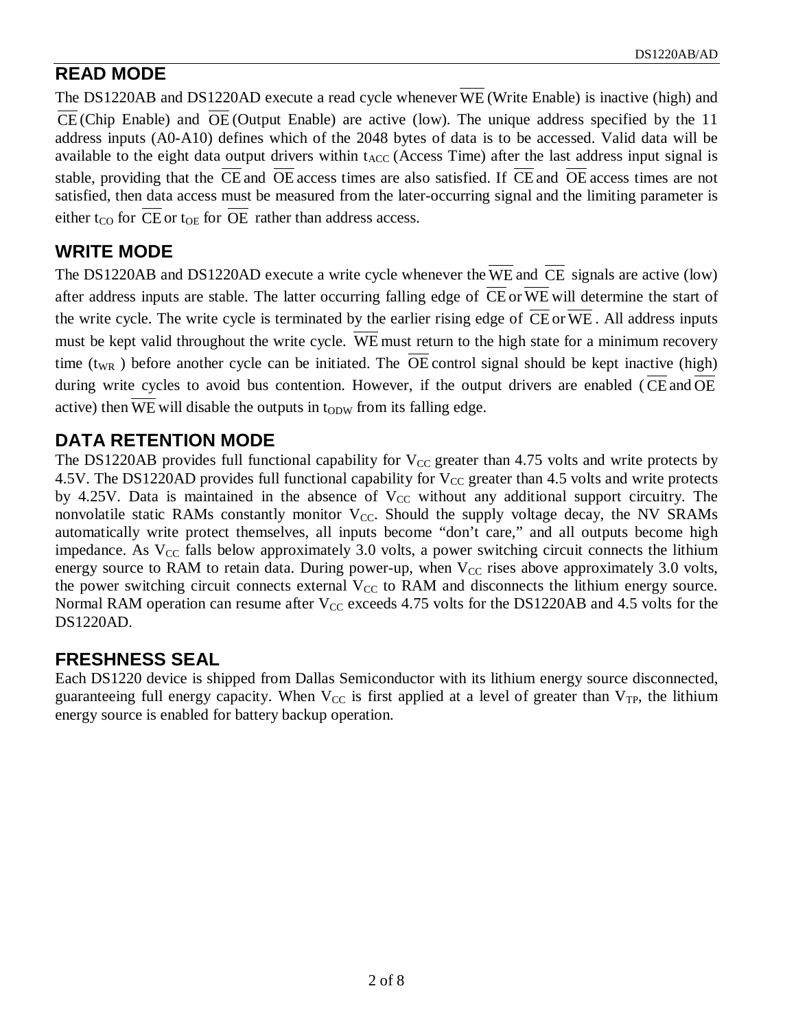## **READ MODE**

The DS1220AB and DS1220AD execute a read cycle whenever WE (Write Enable) is inactive (high) and  $\overline{\text{CE}}$  (Chip Enable) and  $\overline{\text{OE}}$  (Output Enable) are active (low). The unique address specified by the 11 address inputs (A0-A10) defines which of the 2048 bytes of data is to be accessed. Valid data will be available to the eight data output drivers within  $t_{ACC}$  (Access Time) after the last address input signal is stable, providing that the CE and OE access times are also satisfied. If CE and OE access times are not satisfied, then data access must be measured from the later-occurring signal and the limiting parameter is either t<sub>CO</sub> for CE or t<sub>OE</sub> for OE rather than address access.

## **WRITE MODE**

The DS1220AB and DS1220AD execute a write cycle whenever the WE and CE signals are active (low) after address inputs are stable. The latter occurring falling edge of  $\overline{\text{CE}}$  or  $\overline{\text{WE}}$  will determine the start of the write cycle. The write cycle is terminated by the earlier rising edge of  $\overline{CE}$  or  $\overline{WE}$ . All address inputs must be kept valid throughout the write cycle. WE must return to the high state for a minimum recovery time  $(t_{WR}$ ) before another cycle can be initiated. The OE control signal should be kept inactive (high) during write cycles to avoid bus contention. However, if the output drivers are enabled (CE and OE active) then WE will disable the outputs in  $t_{ODW}$  from its falling edge.

## **DATA RETENTION MODE**

The DS1220AB provides full functional capability for  $V_{CC}$  greater than 4.75 volts and write protects by 4.5V. The DS1220AD provides full functional capability for  $V_{CC}$  greater than 4.5 volts and write protects by 4.25V. Data is maintained in the absence of  $V_{CC}$  without any additional support circuitry. The nonvolatile static RAMs constantly monitor  $V_{CC}$ . Should the supply voltage decay, the NV SRAMs automatically write protect themselves, all inputs become "don't care," and all outputs become high impedance. As  $V_{CC}$  falls below approximately 3.0 volts, a power switching circuit connects the lithium energy source to RAM to retain data. During power-up, when  $V_{CC}$  rises above approximately 3.0 volts, the power switching circuit connects external  $V_{CC}$  to RAM and disconnects the lithium energy source. Normal RAM operation can resume after  $V_{CC}$  exceeds 4.75 volts for the DS1220AB and 4.5 volts for the DS1220AD.

## **FRESHNESS SEAL**

Each DS1220 device is shipped from Dallas Semiconductor with its lithium energy source disconnected, guaranteeing full energy capacity. When  $V_{CC}$  is first applied at a level of greater than  $V_{TP}$ , the lithium energy source is enabled for battery backup operation.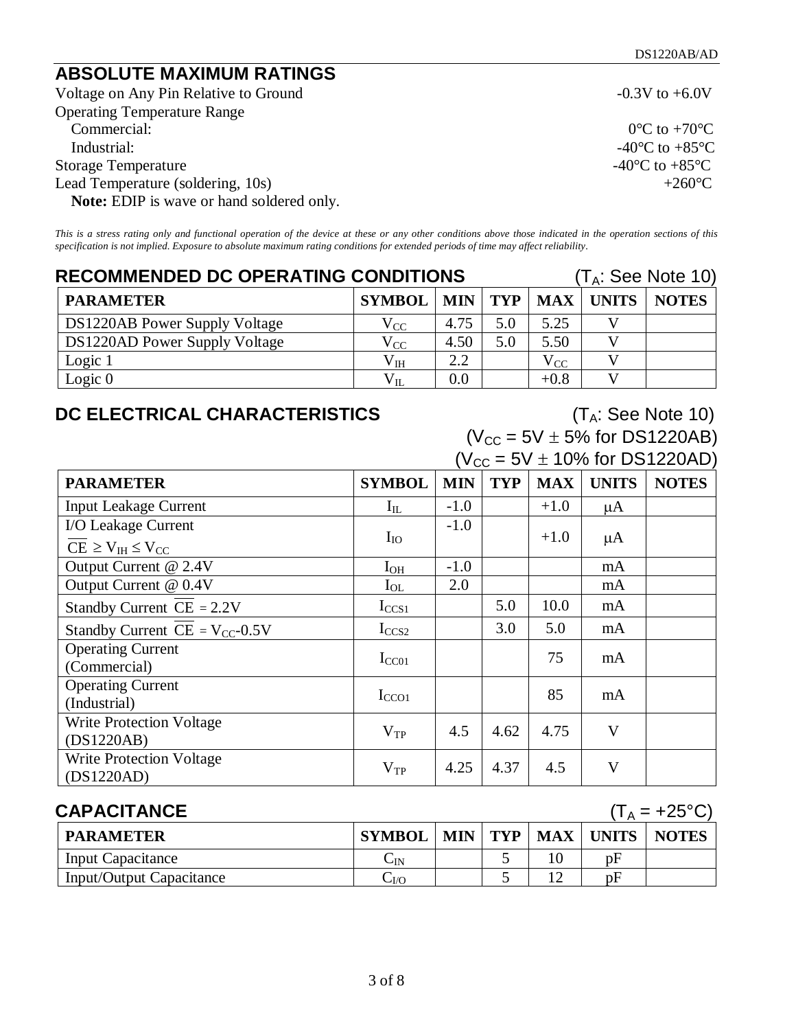## **ABSOLUTE MAXIMUM RATINGS**

Voltage on Any Pin Relative to Ground -0.3V to +6.0V Operating Temperature Range Commercial:  $0^{\circ}$ C to +70<sup>°</sup>C Industrial:  $-40^{\circ}\text{C}$  to  $+85^{\circ}\text{C}$ Storage Temperature  $-40^{\circ}$ C to  $+85^{\circ}$ C Lead Temperature (soldering, 10s)  $+260^{\circ}$ C **Note:** EDIP is wave or hand soldered only.

*This is a stress rating only and functional operation of the device at these or any other conditions above those indicated in the operation sections of this specification is not implied. Exposure to absolute maximum rating conditions for extended periods of time may affect reliability.*

| <b>RECOMMENDED DC OPERATING CONDITIONS</b> |               |      |     | $(T_A:$ See Note 10) |                           |              |
|--------------------------------------------|---------------|------|-----|----------------------|---------------------------|--------------|
| <b>PARAMETER</b>                           | <b>SYMBOL</b> |      |     |                      | $MIN$   TYP   MAX   UNITS | <b>NOTES</b> |
| DS1220AB Power Supply Voltage              | $\rm V_{CC}$  | 4.75 | 5.0 | 5.25                 |                           |              |
| DS1220AD Power Supply Voltage              | $\rm V_{CC}$  | 4.50 | 5.0 | 5.50                 |                           |              |
| Logic 1                                    | $V_{IH}$      | 2.2  |     | $\rm V_{CC}$         |                           |              |
| Logic $0$                                  | $\rm V_{II}$  | 0.0  |     | $+0.8$               |                           |              |

## **DC ELECTRICAL CHARACTERISTICS** (T<sub>A</sub>: See Note 10)

 $(V_{CC} = 5V \pm 5\%$  for DS1220AB)

| $(V_{CC} = 5V \pm 10\%$ for DS1220AD) |               |            |            |            |              |              |
|---------------------------------------|---------------|------------|------------|------------|--------------|--------------|
| <b>PARAMETER</b>                      | <b>SYMBOL</b> | <b>MIN</b> | <b>TYP</b> | <b>MAX</b> | <b>UNITS</b> | <b>NOTES</b> |
| <b>Input Leakage Current</b>          | $I_{IL}$      | $-1.0$     |            | $+1.0$     | μA           |              |
| I/O Leakage Current                   |               | $-1.0$     |            |            |              |              |
| $CE \geq V_{IH} \leq V_{CC}$          | $I_{IO}$      |            |            | $+1.0$     | $\mu A$      |              |
| Output Current @ 2.4V                 | $I_{OH}$      | $-1.0$     |            |            | mA           |              |
| Output Current @ 0.4V                 | $I_{OL}$      | 2.0        |            |            | mA           |              |
| Standby Current $CE = 2.2V$           | $I_{CCS1}$    |            | 5.0        | 10.0       | mA           |              |
| Standby Current $CE = V_{CC}$ -0.5V   | $I_{CCS2}$    |            | 3.0        | 5.0        | mA           |              |
| <b>Operating Current</b>              | $I_{CC01}$    |            |            | 75         | mA           |              |
| (Commercial)                          |               |            |            |            |              |              |
| <b>Operating Current</b>              |               |            |            | 85         | mA           |              |
| (Industrial)                          | $I_{CCO1}$    |            |            |            |              |              |
| <b>Write Protection Voltage</b>       | $V_{TP}$      | 4.5        | 4.62       | 4.75       | V            |              |
| (DS1220AB)                            |               |            |            |            |              |              |
| <b>Write Protection Voltage</b>       |               | 4.25       | 4.37       | 4.5        | $\mathbf{V}$ |              |
| (DS1220AD)                            | $V_{TP}$      |            |            |            |              |              |

| <b>CAPACITANCE</b><br>$(T_A = +25^{\circ}C)$ |               |  |  |  |                         |              |
|----------------------------------------------|---------------|--|--|--|-------------------------|--------------|
| <b>PARAMETER</b>                             | <b>SYMBOL</b> |  |  |  | MIN   TYP   MAX   UNITS | <b>NOTES</b> |
| Input Capacitance                            | Úіn           |  |  |  | pF                      |              |
| Input/Output Capacitance                     | $\sim$ I/O    |  |  |  | pF                      |              |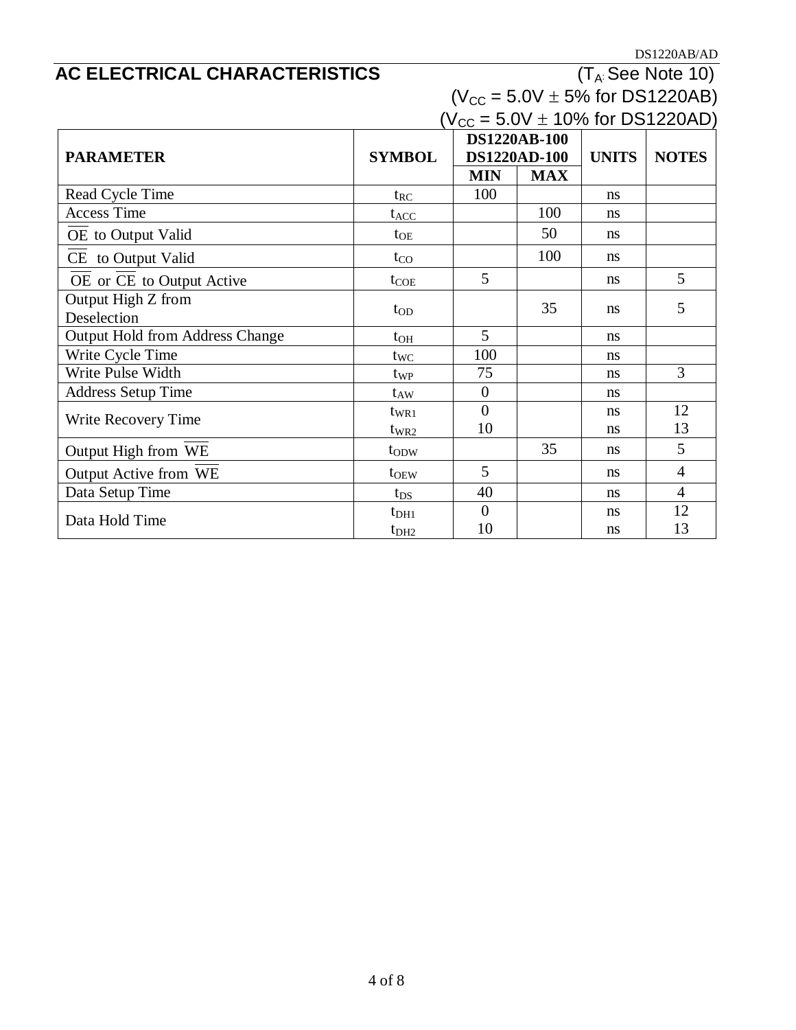$\frac{\text{DS1220AB/AD}}{\left(\text{T}_\text{A}\right.\text{See Note 10}\right)}$ 

## **AC ELECTRICAL CHARACTERISTICS**

| $(V_{CC} = 5.0V \pm 5\%$ for DS1220AB) |  |  |  |
|----------------------------------------|--|--|--|
| $(V_{cc} = 5.0V + 10\%$ for DS1220AD)  |  |  |  |

| $VCC = 5.0V \perp 10$ /8 101 DS IZZUAD |                  |                |                     |               |                |  |
|----------------------------------------|------------------|----------------|---------------------|---------------|----------------|--|
|                                        |                  |                | <b>DS1220AB-100</b> |               |                |  |
| <b>PARAMETER</b>                       | <b>SYMBOL</b>    |                | DS1220AD-100        | <b>UNITS</b>  | <b>NOTES</b>   |  |
|                                        |                  | <b>MIN</b>     | <b>MAX</b>          |               |                |  |
| Read Cycle Time                        | $t_{RC}$         | 100            |                     | ns            |                |  |
| <b>Access Time</b>                     | $t_{ACC}$        |                | 100                 | ns            |                |  |
| OE to Output Valid                     | $t_{OE}$         |                | 50                  | ns            |                |  |
| CE to Output Valid                     | $t_{\rm CO}$     |                | 100                 | ns            |                |  |
| OE or CE to Output Active              | $t_{COE}$        | 5              |                     | ns            | 5              |  |
| Output High Z from                     | $t_{OD}$         |                | 35                  | ns            | 5              |  |
| Deselection                            |                  |                |                     |               |                |  |
| <b>Output Hold from Address Change</b> | $t_{OH}$         | 5              |                     | ns            |                |  |
| Write Cycle Time                       | $t_{WC}$         | 100            |                     | ns            |                |  |
| Write Pulse Width                      | $t_{WP}$         | 75             |                     | ns            | 3              |  |
| <b>Address Setup Time</b>              | $t_{AW}$         | $\overline{0}$ |                     | <sub>ns</sub> |                |  |
| Write Recovery Time                    | $t_{WR1}$        | $\overline{0}$ |                     | ns            | 12             |  |
|                                        | $t_{WR2}$        | 10             |                     | ns            | 13             |  |
| Output High from WE                    | t <sub>ODW</sub> |                | 35                  | ns            | 5              |  |
| Output Active from WE                  | $t_{OEW}$        | 5              |                     | <sub>ns</sub> | $\overline{4}$ |  |
| Data Setup Time                        | $t_{DS}$         | 40             |                     | ns            | $\overline{4}$ |  |
| Data Hold Time                         | $t_{\rm DH1}$    | $\overline{0}$ |                     | ns            | 12             |  |
|                                        | t <sub>DH2</sub> | 10             |                     | ns            | 13             |  |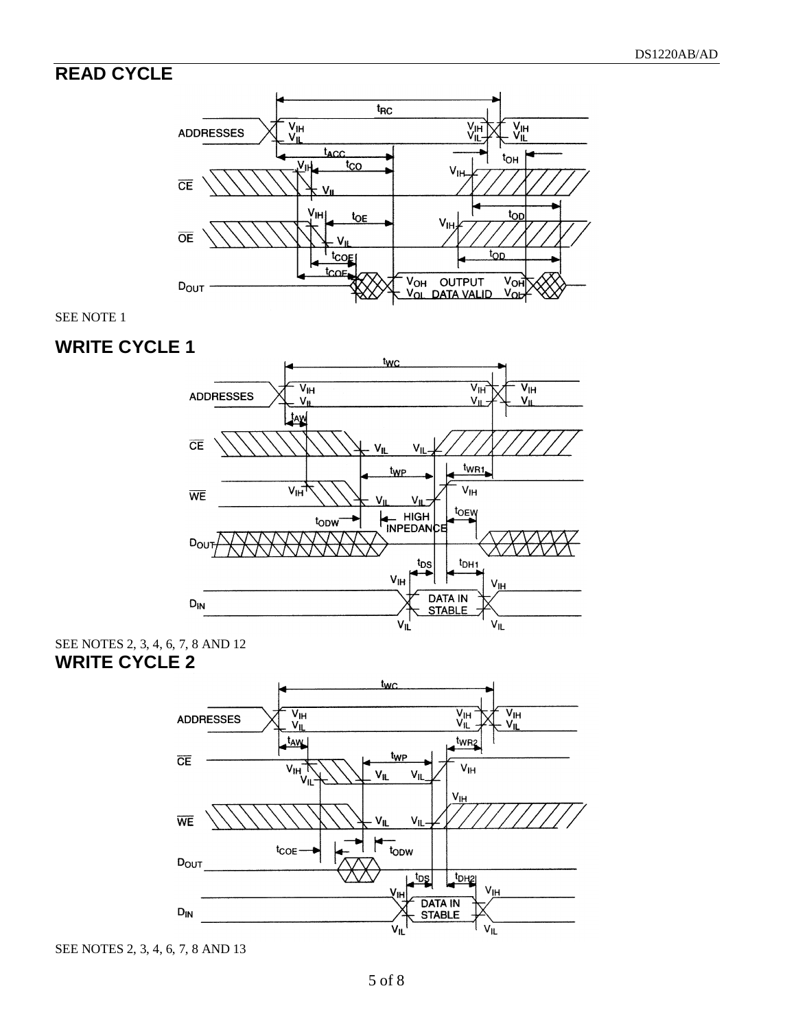## **READ CYCLE**



SEE NOTE 1

## **WRITE CYCLE 1**



SEE NOTES 2, 3, 4, 6, 7, 8 AND 12 **WRITE CYCLE 2**



SEE NOTES 2, 3, 4, 6, 7, 8 AND 13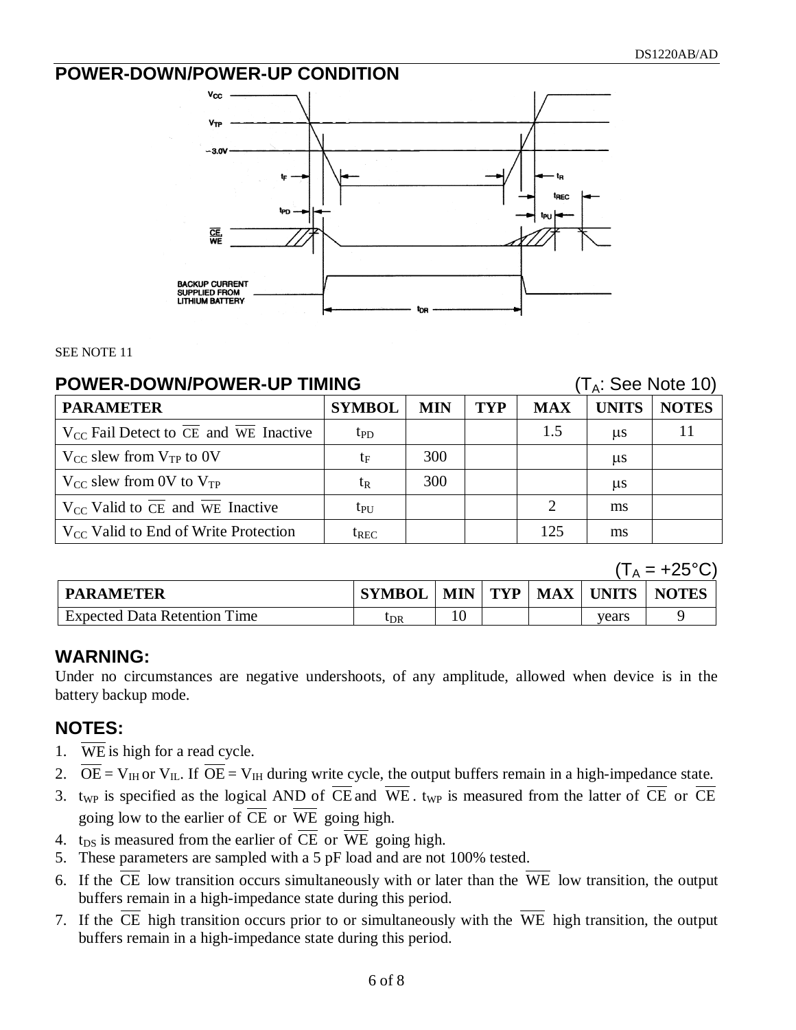### **POWER-DOWN/POWER-UP CONDITION**



#### SEE NOTE 11

#### **POWER-DOWN/POWER-UP TIMING** (T<sub>A</sub>: See Note 10)

| <b>PARAMETER</b>                                                     | <b>SYMBOL</b>   | <b>MIN</b> | TYP | <b>MAX</b>                  | <b>UNITS</b> | <b>NOTES</b> |
|----------------------------------------------------------------------|-----------------|------------|-----|-----------------------------|--------------|--------------|
| $V_{CC}$ Fail Detect to $\overline{CE}$ and $\overline{WE}$ Inactive | tp <sub>D</sub> |            |     | 1.5                         | $\mu$ s      |              |
| $V_{CC}$ slew from $V_{TP}$ to 0V                                    | t <sub>F</sub>  | 300        |     |                             | $\mu$ s      |              |
| $V_{CC}$ slew from 0V to $V_{TP}$                                    | t <sub>R</sub>  | 300        |     |                             | $\mu$ s      |              |
| $V_{CC}$ Valid to $\overline{CE}$ and $\overline{WE}$ Inactive       | $tp_{U}$        |            |     | $\mathcal{D}_{\mathcal{L}}$ | ms           |              |
| $V_{CC}$ Valid to End of Write Protection                            | $t_{REC}$       |            |     | 125                         | ms           |              |

 $(T_A = +25^{\circ}C)$ 

| <b>PARAMETER</b>                    | <b>SYMBOL</b> | <b>MIN</b> | <b>TYP</b> | MAX | <b>UNITS</b> | <b>NOTES</b> |
|-------------------------------------|---------------|------------|------------|-----|--------------|--------------|
| <b>Expected Data Retention Time</b> | UDR           | 10         |            |     | vears        |              |

#### **WARNING:**

Under no circumstances are negative undershoots, of any amplitude, allowed when device is in the battery backup mode.

#### **NOTES:**

- 1. WE is high for a read cycle.
- 2.  $\overline{OE} = V_{IH}$  or  $V_{IL}$ . If  $\overline{OE} = V_{IH}$  during write cycle, the output buffers remain in a high-impedance state.
- 3. t<sub>WP</sub> is specified as the logical AND of  $\overline{CE}$  and  $\overline{WE}$ . t<sub>WP</sub> is measured from the latter of  $\overline{CE}$  or  $\overline{CE}$ going low to the earlier of  $\overline{CE}$  or  $\overline{WE}$  going high.
- 4. t<sub>DS</sub> is measured from the earlier of  $\overline{CE}$  or  $\overline{WE}$  going high.
- 5. These parameters are sampled with a 5 pF load and are not 100% tested.
- 6. If the  $\overline{CE}$  low transition occurs simultaneously with or later than the  $\overline{WE}$  low transition, the output buffers remain in a high-impedance state during this period.
- 7. If the  $\overline{CE}$  high transition occurs prior to or simultaneously with the  $\overline{WE}$  high transition, the output buffers remain in a high-impedance state during this period.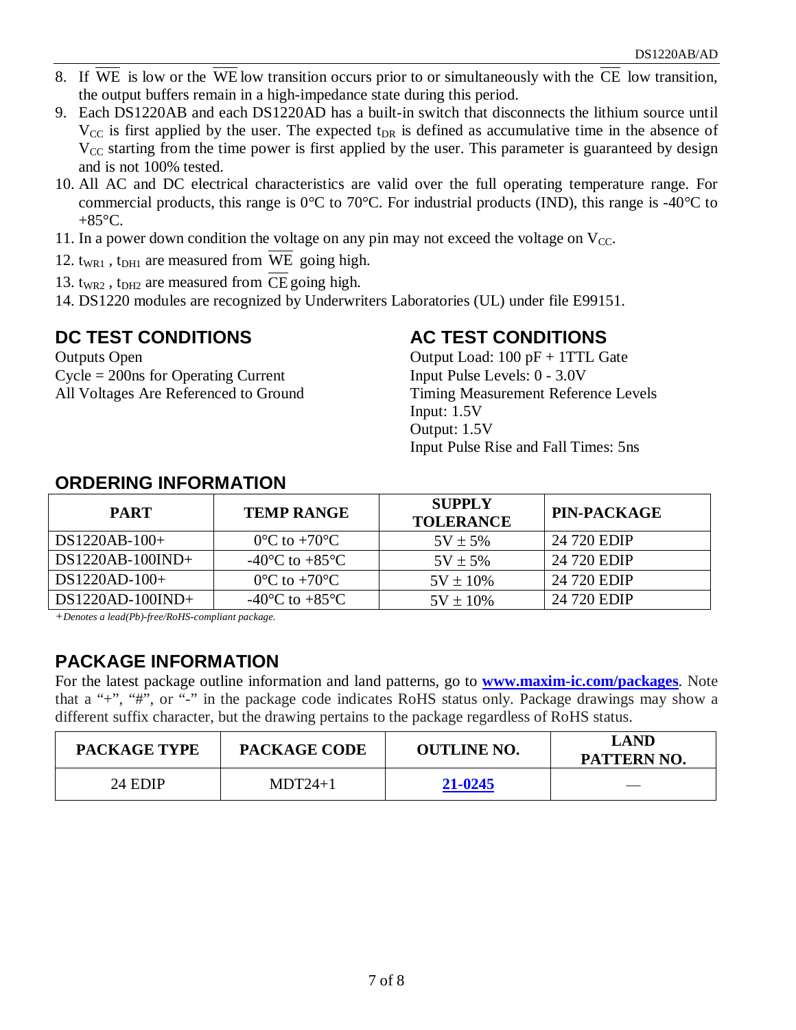- 8. If WE is low or the WE low transition occurs prior to or simultaneously with the CE low transition, the output buffers remain in a high-impedance state during this period.
- 9. Each DS1220AB and each DS1220AD has a built-in switch that disconnects the lithium source until  $V_{\text{CC}}$  is first applied by the user. The expected t<sub>DR</sub> is defined as accumulative time in the absence of  $V_{CC}$  starting from the time power is first applied by the user. This parameter is guaranteed by design and is not 100% tested.
- 10. All AC and DC electrical characteristics are valid over the full operating temperature range. For commercial products, this range is  $0^{\circ}$ C to 70 $^{\circ}$ C. For industrial products (IND), this range is -40 $^{\circ}$ C to  $+85^{\circ}$ C.
- 11. In a power down condition the voltage on any pin may not exceed the voltage on  $V_{CC}$ .
- 12.  $t_{WRI}$ ,  $t_{DH1}$  are measured from WE going high.
- 13.  $t_{WR2}$ ,  $t_{DH2}$  are measured from CE going high.
- 14. DS1220 modules are recognized by Underwriters Laboratories (UL) under file E99151.

### **DC TEST CONDITIONS**

Outputs Open Cycle = 200ns for Operating Current All Voltages Are Referenced to Ground

## **AC TEST CONDITIONS**

Output Load: 100 pF + 1TTL Gate Input Pulse Levels: 0 - 3.0V Timing Measurement Reference Levels Input: 1.5V Output: 1.5V Input Pulse Rise and Fall Times: 5ns

| <b>PART</b>        | <b>TEMP RANGE</b>                            | <b>SUPPLY</b><br><b>TOLERANCE</b> | <b>PIN-PACKAGE</b> |
|--------------------|----------------------------------------------|-----------------------------------|--------------------|
| $DS1220AB-100+$    | $0^{\circ}$ C to +70 $^{\circ}$ C            | $5V \pm 5\%$                      | 24 720 EDIP        |
| $DS1220AB-100IND+$ | -40 $^{\circ}$ C to +85 $^{\circ}$ C         | $5V \pm 5\%$                      | 24 720 EDIP        |
| $DS1220AD-100+$    | $0^{\circ}$ C to +70 $^{\circ}$ C            | $5V \pm 10\%$                     | 24 720 EDIP        |
| $DS1220AD-100IND+$ | -40 $\rm{^{\circ}C}$ to +85 $\rm{^{\circ}C}$ | $5V \pm 10\%$                     | 24 720 EDIP        |

### **ORDERING INFORMATION**

*+Denotes a lead(Pb)-free/RoHS-compliant package.*

## **PACKAGE INFORMATION**

For the latest package outline information and land patterns, go to **[www.maxim-ic.com/packages](http://www.maxim-ic.com/packages)**. Note that a "+", "#", or "-" in the package code indicates RoHS status only. Package drawings may show a different suffix character, but the drawing pertains to the package regardless of RoHS status.

| <b>PACKAGE TYPE</b> | <b>PACKAGE CODE</b> | <b>OUTLINE NO.</b> | <b>LAND</b><br>PATTERN NO. |
|---------------------|---------------------|--------------------|----------------------------|
| 24 EDIP             | $MDT24+1$           | 21-0245            |                            |